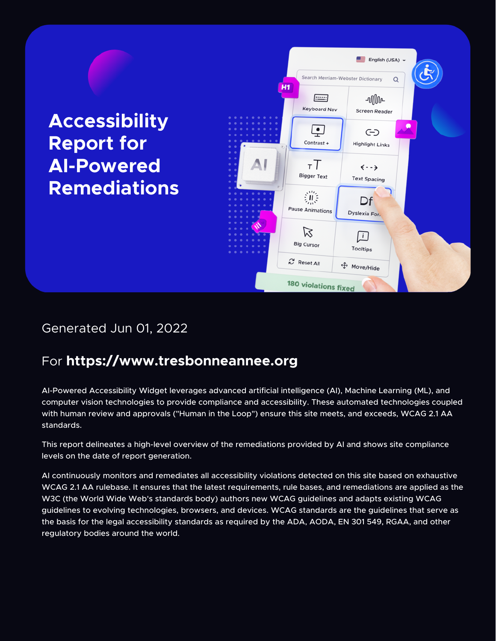**Accessibility Report for AI-Powered Remediations**



### Generated Jun 01, 2022

### For **<https://www.tresbonneannee.org>**

AI-Powered Accessibility Widget leverages advanced artificial intelligence (AI), Machine Learning (ML), and computer vision technologies to provide compliance and accessibility. These automated technologies coupled with human review and approvals ("Human in the Loop") ensure this site meets, and exceeds, WCAG 2.1 AA standards.

This report delineates a high-level overview of the remediations provided by AI and shows site compliance levels on the date of report generation.

AI continuously monitors and remediates all accessibility violations detected on this site based on exhaustive WCAG 2.1 AA rulebase. It ensures that the latest requirements, rule bases, and remediations are applied as the W3C (the World Wide Web's standards body) authors new WCAG guidelines and adapts existing WCAG guidelines to evolving technologies, browsers, and devices. WCAG standards are the guidelines that serve as the basis for the legal accessibility standards as required by the ADA, AODA, EN 301 549, RGAA, and other regulatory bodies around the world.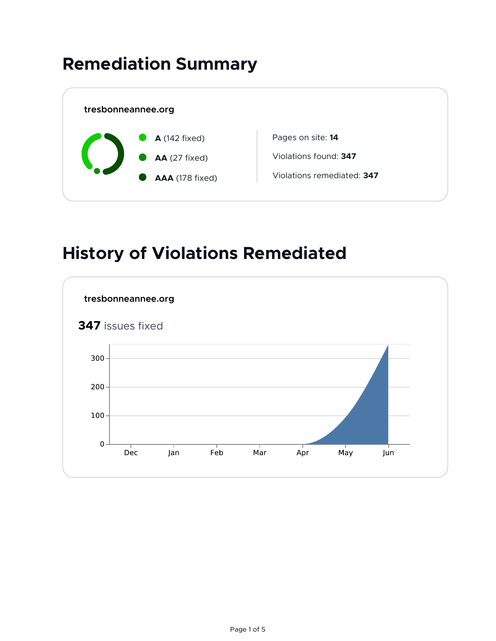## **Remediation Summary**



### **History of Violations Remediated**

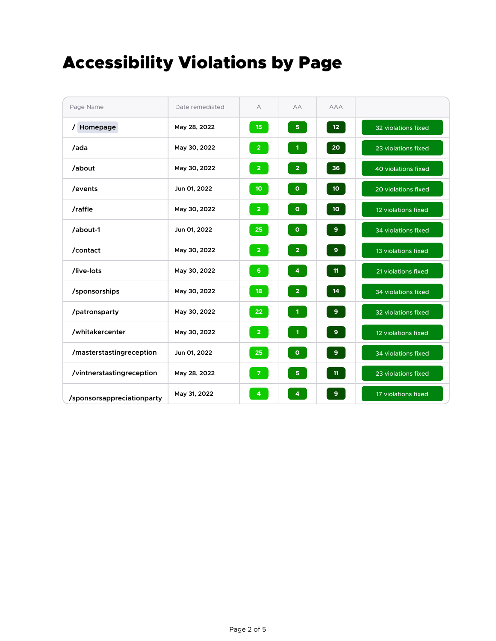## Accessibility Violations by Page

| Page Name                  | Date remediated | A                | AA                | <b>AAA</b>      |                     |
|----------------------------|-----------------|------------------|-------------------|-----------------|---------------------|
| Homepage                   | May 28, 2022    | 15 <sub>15</sub> | 5 <sub>1</sub>    | 12 <sub>2</sub> | 32 violations fixed |
| /ada                       | May 30, 2022    | 2 <sup>7</sup>   | $\vert 1 \rangle$ | 20 <sub>o</sub> | 23 violations fixed |
| /about                     | May 30, 2022    | 2 <sup>7</sup>   | 2 <sup>7</sup>    | 36              | 40 violations fixed |
| /events                    | Jun 01, 2022    | 10 <sub>1</sub>  | $\bullet$         | 10 <sub>1</sub> | 20 violations fixed |
| /raffle                    | May 30, 2022    | 2 <sup>7</sup>   | $\bullet$         | 10 <sub>o</sub> | 12 violations fixed |
| /about-1                   | Jun 01, 2022    | 25               | $\bullet$         | 9 <sup>°</sup>  | 34 violations fixed |
| /contact                   | May 30, 2022    | 2 <sup>7</sup>   | 2 <sup>7</sup>    | 9 <sup>°</sup>  | 13 violations fixed |
| /live-lots                 | May 30, 2022    | 6 <sup>1</sup>   | 4 <sup>1</sup>    | 11              | 21 violations fixed |
| /sponsorships              | May 30, 2022    | 18 <sup>°</sup>  | 2 <sup>7</sup>    | 14              | 34 violations fixed |
| /patronsparty              | May 30, 2022    | 22 <sub>2</sub>  | $\mathbf{1}$      | 9 <sup>°</sup>  | 32 violations fixed |
| /whitakercenter            | May 30, 2022    | 2 <sup>7</sup>   | $\mathbf{1}$      | 9 <sup>°</sup>  | 12 violations fixed |
| /masterstastingreception   | Jun 01, 2022    | 25               | $\bullet$         | 9 <sup>°</sup>  | 34 violations fixed |
| /vintnerstastingreception  | May 28, 2022    | $\overline{7}$   | 5 <sup>1</sup>    | 11              | 23 violations fixed |
| /sponsorsappreciationparty | May 31, 2022    | $\overline{4}$   | 4                 | $\mathbf{9}$    | 17 violations fixed |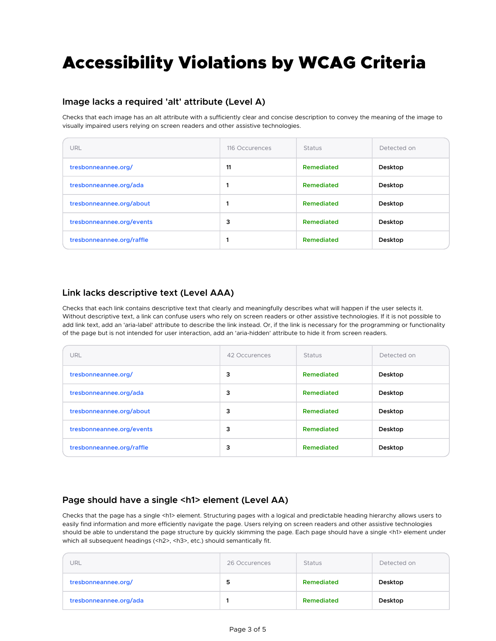# Accessibility Violations by WCAG Criteria

#### **Image lacks a required 'alt' attribute (Level A)**

Checks that each image has an alt attribute with a sufficiently clear and concise description to convey the meaning of the image to visually impaired users relying on screen readers and other assistive technologies.

| URL                       | 116 Occurences | <b>Status</b>     | Detected on |
|---------------------------|----------------|-------------------|-------------|
| tresbonneannee.org/       | 11             | Remediated        | Desktop     |
| tresbonneannee.org/ada    |                | Remediated        | Desktop     |
| tresbonneannee.org/about  |                | Remediated        | Desktop     |
| tresbonneannee.org/events | 3              | Remediated        | Desktop     |
| tresbonneannee.org/raffle |                | <b>Remediated</b> | Desktop     |

#### **Link lacks descriptive text (Level AAA)**

Checks that each link contains descriptive text that clearly and meaningfully describes what will happen if the user selects it. Without descriptive text, a link can confuse users who rely on screen readers or other assistive technologies. If it is not possible to add link text, add an 'aria-label' attribute to describe the link instead. Or, if the link is necessary for the programming or functionality of the page but is not intended for user interaction, add an 'aria-hidden' attribute to hide it from screen readers.

| URL                       | 42 Occurences | <b>Status</b>     | Detected on |
|---------------------------|---------------|-------------------|-------------|
| tresbonneannee.org/       | 3             | <b>Remediated</b> | Desktop     |
| tresbonneannee.org/ada    | 3             | <b>Remediated</b> | Desktop     |
| tresbonneannee.org/about  | 3             | <b>Remediated</b> | Desktop     |
| tresbonneannee.org/events | 3             | <b>Remediated</b> | Desktop     |
| tresbonneannee.org/raffle | 3             | Remediated        | Desktop     |

#### Page should have a single <h1> element (Level AA)

Checks that the page has a single <h1> element. Structuring pages with a logical and predictable heading hierarchy allows users to easily find information and more efficiently navigate the page. Users relying on screen readers and other assistive technologies should be able to understand the page structure by quickly skimming the page. Each page should have a single <h1> element under which all subsequent headings (<h2>, <h3>, etc.) should semantically fit.

| JRL                    | 26 Occurences | <b>Status</b> | Detected on |
|------------------------|---------------|---------------|-------------|
| tresbonneannee.org/    | 5             | Remediated    | Desktop     |
| tresbonneannee.org/ada |               | Remediated    | Desktop     |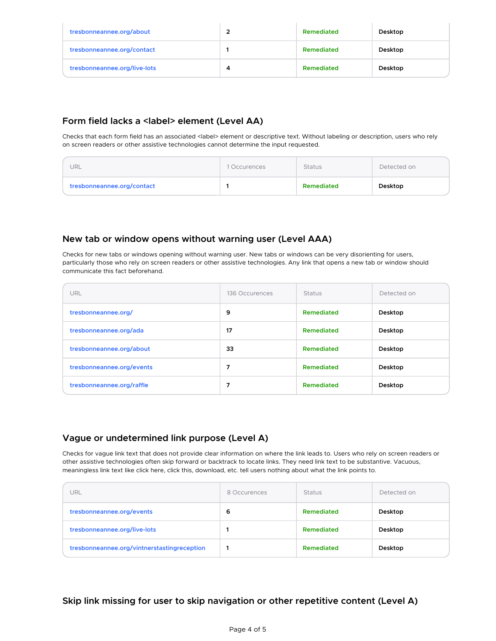| tresbonneannee.org/about     |   | Remediated | Desktop |
|------------------------------|---|------------|---------|
| tresbonneannee.org/contact   |   | Remediated | Desktop |
| tresbonneannee.org/live-lots | Δ | Remediated | Desktop |

#### **Form field lacks a <label> element (Level AA)**

Checks that each form field has an associated <label> element or descriptive text. Without labeling or description, users who rely on screen readers or other assistive technologies cannot determine the input requested.

| tresbonneannee.org/contact |              | Remediated    | Desktop     |
|----------------------------|--------------|---------------|-------------|
| URL                        | 1 Occurences | <b>Status</b> | Detected on |

#### **New tab or window opens without warning user (Level AAA)**

Checks for new tabs or windows opening without warning user. New tabs or windows can be very disorienting for users, particularly those who rely on screen readers or other assistive technologies. Any link that opens a new tab or window should communicate this fact beforehand.

| URL                       | 136 Occurences | <b>Status</b> | Detected on |
|---------------------------|----------------|---------------|-------------|
| tresbonneannee.org/       | 9              | Remediated    | Desktop     |
| tresbonneannee.org/ada    | 17             | Remediated    | Desktop     |
| tresbonneannee.org/about  | 33             | Remediated    | Desktop     |
| tresbonneannee.org/events | 7              | Remediated    | Desktop     |
| tresbonneannee.org/raffle |                | Remediated    | Desktop     |

#### **Vague or undetermined link purpose (Level A)**

Checks for vague link text that does not provide clear information on where the link leads to. Users who rely on screen readers or other assistive technologies often skip forward or backtrack to locate links. They need link text to be substantive. Vacuous, meaningless link text like click here, click this, download, etc. tell users nothing about what the link points to.

| URL                                         | 8 Occurences | <b>Status</b> | Detected on |
|---------------------------------------------|--------------|---------------|-------------|
| tresbonneannee.org/events                   | 6            | Remediated    | Desktop     |
| tresbonneannee.org/live-lots                |              | Remediated    | Desktop     |
| tresbonneannee.org/vintnerstastingreception |              | Remediated    | Desktop     |